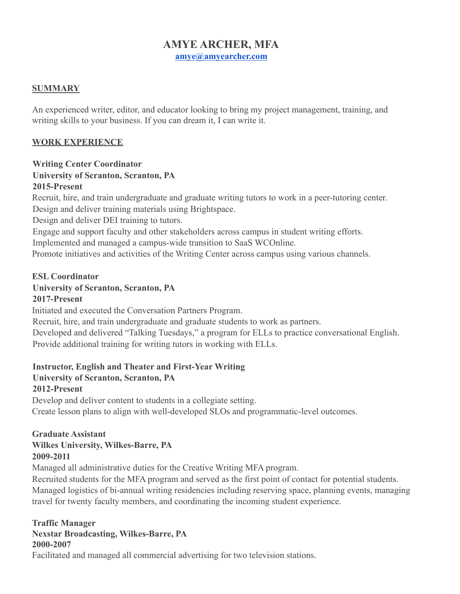### **AMYE ARCHER, MFA [amye@amyearcher.com](mailto:amye@amyearcher.com)**

#### **SUMMARY**

An experienced writer, editor, and educator looking to bring my project management, training, and writing skills to your business. If you can dream it, I can write it.

### **WORK EXPERIENCE**

#### **Writing Center Coordinator University of Scranton, Scranton, PA 2015-Present**

Recruit, hire, and train undergraduate and graduate writing tutors to work in a peer-tutoring center. Design and deliver training materials using Brightspace.

Design and deliver DEI training to tutors.

Engage and support faculty and other stakeholders across campus in student writing efforts.

Implemented and managed a campus-wide transition to SaaS WCOnline.

Promote initiatives and activities of the Writing Center across campus using various channels.

#### **ESL Coordinator**

#### **University of Scranton, Scranton, PA**

#### **2017-Present**

Initiated and executed the Conversation Partners Program.

Recruit, hire, and train undergraduate and graduate students to work as partners.

Developed and delivered "Talking Tuesdays," a program for ELLs to practice conversational English. Provide additional training for writing tutors in working with ELLs.

### **Instructor, English and Theater and First-Year Writing**

## **University of Scranton, Scranton, PA**

#### **2012-Present**

Develop and deliver content to students in a collegiate setting. Create lesson plans to align with well-developed SLOs and programmatic-level outcomes.

#### **Graduate Assistant Wilkes University, Wilkes-Barre, PA 2009-2011**

Managed all administrative duties for the Creative Writing MFA program.

Recruited students for the MFA program and served as the first point of contact for potential students. Managed logistics of bi-annual writing residencies including reserving space, planning events, managing travel for twenty faculty members, and coordinating the incoming student experience.

# **Traffic Manager Nexstar Broadcasting, Wilkes-Barre, PA**

#### **2000-2007**

Facilitated and managed all commercial advertising for two television stations.